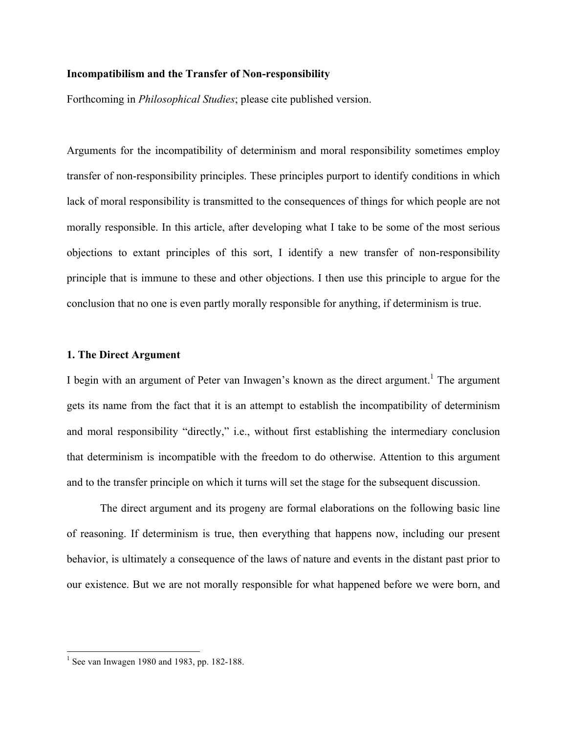# **Incompatibilism and the Transfer of Non-responsibility**

Forthcoming in *Philosophical Studies*; please cite published version.

Arguments for the incompatibility of determinism and moral responsibility sometimes employ transfer of non-responsibility principles. These principles purport to identify conditions in which lack of moral responsibility is transmitted to the consequences of things for which people are not morally responsible. In this article, after developing what I take to be some of the most serious objections to extant principles of this sort, I identify a new transfer of non-responsibility principle that is immune to these and other objections. I then use this principle to argue for the conclusion that no one is even partly morally responsible for anything, if determinism is true.

#### **1. The Direct Argument**

I begin with an argument of Peter van Inwagen's known as the direct argument.<sup>1</sup> The argument gets its name from the fact that it is an attempt to establish the incompatibility of determinism and moral responsibility "directly," i.e., without first establishing the intermediary conclusion that determinism is incompatible with the freedom to do otherwise. Attention to this argument and to the transfer principle on which it turns will set the stage for the subsequent discussion.

The direct argument and its progeny are formal elaborations on the following basic line of reasoning. If determinism is true, then everything that happens now, including our present behavior, is ultimately a consequence of the laws of nature and events in the distant past prior to our existence. But we are not morally responsible for what happened before we were born, and

 $1$  See van Inwagen 1980 and 1983, pp. 182-188.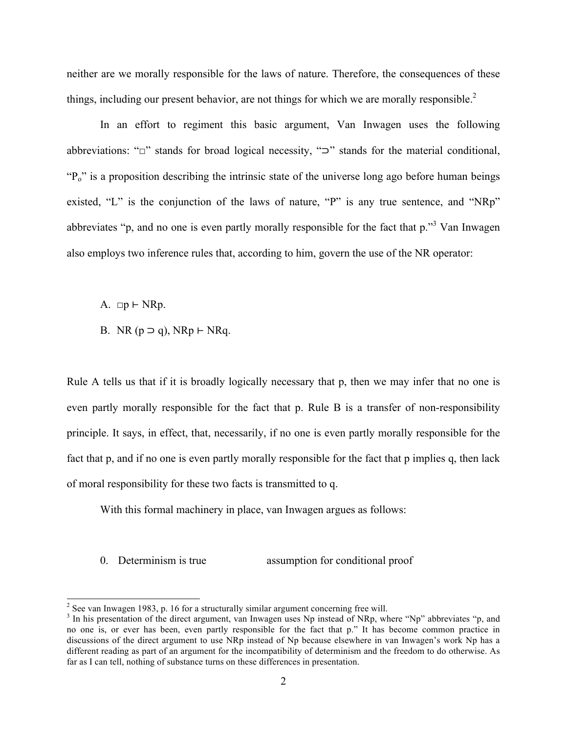neither are we morally responsible for the laws of nature. Therefore, the consequences of these things, including our present behavior, are not things for which we are morally responsible.<sup>2</sup>

In an effort to regiment this basic argument, Van Inwagen uses the following abbreviations: "□" stands for broad logical necessity, "⊃" stands for the material conditional, " $P_0$ " is a proposition describing the intrinsic state of the universe long ago before human beings existed, "L" is the conjunction of the laws of nature, "P" is any true sentence, and "NRp" abbreviates "p, and no one is even partly morally responsible for the fact that p."<sup>3</sup> Van Inwagen also employs two inference rules that, according to him, govern the use of the NR operator:

- A.  $□p ⊢ NRp$ .
- B. NR  $(p \supset q)$ , NRp  $\vdash$  NRq.

Rule A tells us that if it is broadly logically necessary that p, then we may infer that no one is even partly morally responsible for the fact that p. Rule B is a transfer of non-responsibility principle. It says, in effect, that, necessarily, if no one is even partly morally responsible for the fact that p, and if no one is even partly morally responsible for the fact that p implies q, then lack of moral responsibility for these two facts is transmitted to q.

With this formal machinery in place, van Inwagen argues as follows:

0. Determinism is true assumption for conditional proof

 $2$  See van Inwagen 1983, p. 16 for a structurally similar argument concerning free will.

<sup>&</sup>lt;sup>3</sup> In his presentation of the direct argument, van Inwagen uses Np instead of NRp, where "Np" abbreviates "p, and no one is, or ever has been, even partly responsible for the fact that p." It has become common practice in discussions of the direct argument to use NRp instead of Np because elsewhere in van Inwagen's work Np has a different reading as part of an argument for the incompatibility of determinism and the freedom to do otherwise. As far as I can tell, nothing of substance turns on these differences in presentation.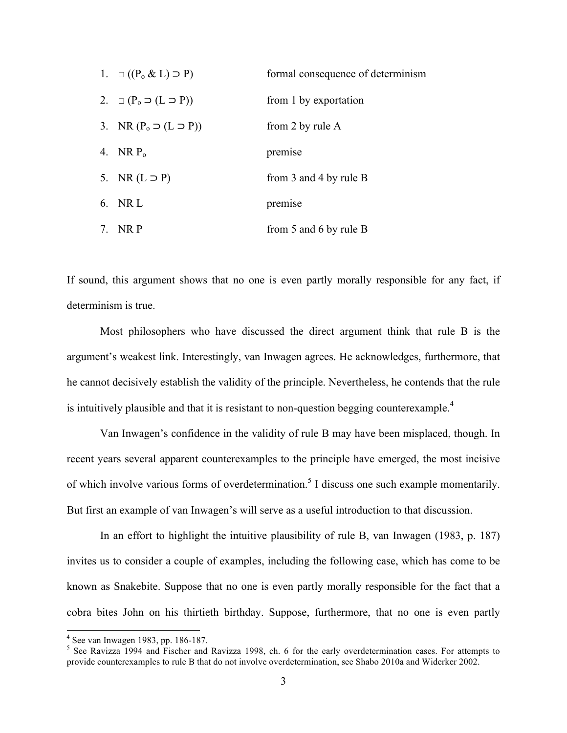|    | 1. $\Box$ ((P <sub>o</sub> & L) $\supset$ P)         | formal consequence of determinism |
|----|------------------------------------------------------|-----------------------------------|
|    | 2. $\Box$ (P <sub>0</sub> $\supset$ (L $\supset$ P)) | from 1 by exportation             |
|    | 3. NR $(P_0 \supset (L \supset P))$                  | from 2 by rule A                  |
| 4. | $NR P_0$                                             | premise                           |
|    | 5. NR $(L \supset P)$                                | from 3 and 4 by rule B            |
|    | 6. NR $L$                                            | premise                           |
| 7  | NR P                                                 | from 5 and 6 by rule B            |

If sound, this argument shows that no one is even partly morally responsible for any fact, if determinism is true.

Most philosophers who have discussed the direct argument think that rule B is the argument's weakest link. Interestingly, van Inwagen agrees. He acknowledges, furthermore, that he cannot decisively establish the validity of the principle. Nevertheless, he contends that the rule is intuitively plausible and that it is resistant to non-question begging counterexample.<sup>4</sup>

Van Inwagen's confidence in the validity of rule B may have been misplaced, though. In recent years several apparent counterexamples to the principle have emerged, the most incisive of which involve various forms of overdetermination.<sup>5</sup> I discuss one such example momentarily. But first an example of van Inwagen's will serve as a useful introduction to that discussion.

In an effort to highlight the intuitive plausibility of rule B, van Inwagen (1983, p. 187) invites us to consider a couple of examples, including the following case, which has come to be known as Snakebite. Suppose that no one is even partly morally responsible for the fact that a cobra bites John on his thirtieth birthday. Suppose, furthermore, that no one is even partly

 $^{4}$  See van Inwagen 1983, pp. 186-187.<br><sup>5</sup> See Ravizza 1994 and Fischer and Ravizza 1998, ch. 6 for the early overdetermination cases. For attempts to provide counterexamples to rule B that do not involve overdetermination, see Shabo 2010a and Widerker 2002.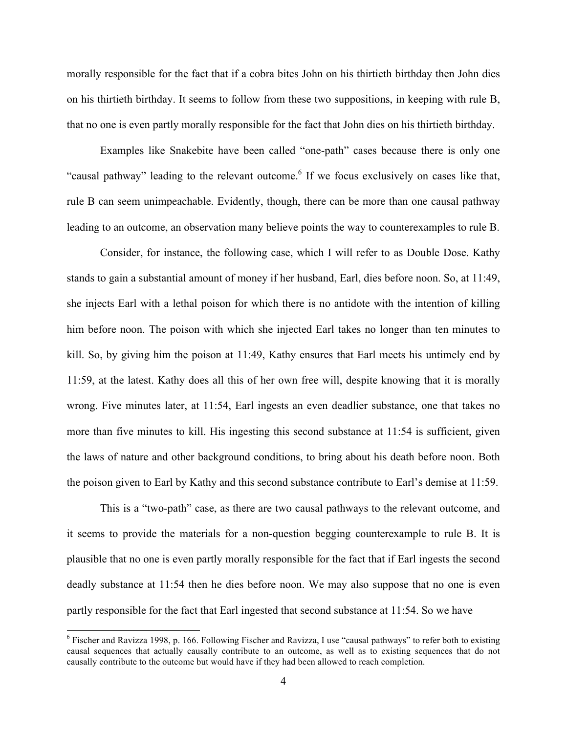morally responsible for the fact that if a cobra bites John on his thirtieth birthday then John dies on his thirtieth birthday. It seems to follow from these two suppositions, in keeping with rule B, that no one is even partly morally responsible for the fact that John dies on his thirtieth birthday.

Examples like Snakebite have been called "one-path" cases because there is only one "causal pathway" leading to the relevant outcome.<sup>6</sup> If we focus exclusively on cases like that, rule B can seem unimpeachable. Evidently, though, there can be more than one causal pathway leading to an outcome, an observation many believe points the way to counterexamples to rule B.

Consider, for instance, the following case, which I will refer to as Double Dose. Kathy stands to gain a substantial amount of money if her husband, Earl, dies before noon. So, at 11:49, she injects Earl with a lethal poison for which there is no antidote with the intention of killing him before noon. The poison with which she injected Earl takes no longer than ten minutes to kill. So, by giving him the poison at 11:49, Kathy ensures that Earl meets his untimely end by 11:59, at the latest. Kathy does all this of her own free will, despite knowing that it is morally wrong. Five minutes later, at 11:54, Earl ingests an even deadlier substance, one that takes no more than five minutes to kill. His ingesting this second substance at 11:54 is sufficient, given the laws of nature and other background conditions, to bring about his death before noon. Both the poison given to Earl by Kathy and this second substance contribute to Earl's demise at 11:59.

This is a "two-path" case, as there are two causal pathways to the relevant outcome, and it seems to provide the materials for a non-question begging counterexample to rule B. It is plausible that no one is even partly morally responsible for the fact that if Earl ingests the second deadly substance at 11:54 then he dies before noon. We may also suppose that no one is even partly responsible for the fact that Earl ingested that second substance at 11:54. So we have

 <sup>6</sup> Fischer and Ravizza 1998, p. 166. Following Fischer and Ravizza, I use "causal pathways" to refer both to existing causal sequences that actually causally contribute to an outcome, as well as to existing sequences that do not causally contribute to the outcome but would have if they had been allowed to reach completion.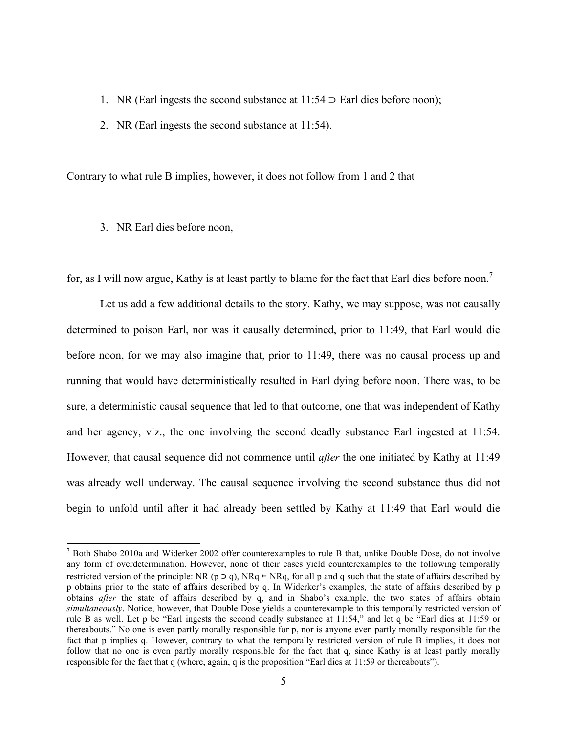- 1. NR (Earl ingests the second substance at  $11:54 \supseteq$  Earl dies before noon);
- 2. NR (Earl ingests the second substance at 11:54).

Contrary to what rule B implies, however, it does not follow from 1 and 2 that

3. NR Earl dies before noon,

for, as I will now argue, Kathy is at least partly to blame for the fact that Earl dies before noon.<sup>7</sup>

Let us add a few additional details to the story. Kathy, we may suppose, was not causally determined to poison Earl, nor was it causally determined, prior to 11:49, that Earl would die before noon, for we may also imagine that, prior to 11:49, there was no causal process up and running that would have deterministically resulted in Earl dying before noon. There was, to be sure, a deterministic causal sequence that led to that outcome, one that was independent of Kathy and her agency, viz., the one involving the second deadly substance Earl ingested at 11:54. However, that causal sequence did not commence until *after* the one initiated by Kathy at 11:49 was already well underway. The causal sequence involving the second substance thus did not begin to unfold until after it had already been settled by Kathy at 11:49 that Earl would die

<sup>&</sup>lt;sup>7</sup> Both Shabo 2010a and Widerker 2002 offer counterexamples to rule B that, unlike Double Dose, do not involve any form of overdetermination. However, none of their cases yield counterexamples to the following temporally restricted version of the principle: NR (p ⊃ q), NRq ⊢ NRq, for all p and q such that the state of affairs described by p obtains prior to the state of affairs described by q. In Widerker's examples, the state of affairs described by p obtains *after* the state of affairs described by q, and in Shabo's example, the two states of affairs obtain *simultaneously*. Notice, however, that Double Dose yields a counterexample to this temporally restricted version of rule B as well. Let p be "Earl ingests the second deadly substance at 11:54," and let q be "Earl dies at 11:59 or thereabouts." No one is even partly morally responsible for p, nor is anyone even partly morally responsible for the fact that p implies q. However, contrary to what the temporally restricted version of rule B implies, it does not follow that no one is even partly morally responsible for the fact that q, since Kathy is at least partly morally responsible for the fact that q (where, again, q is the proposition "Earl dies at 11:59 or thereabouts").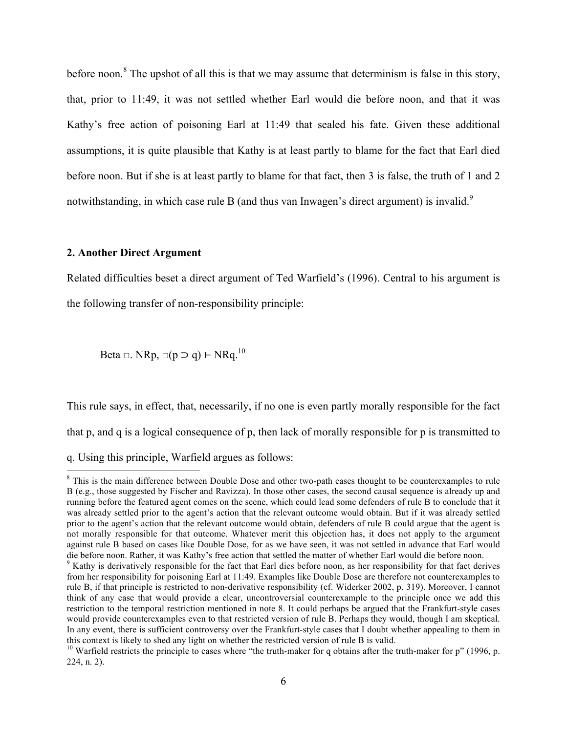before noon.<sup>8</sup> The upshot of all this is that we may assume that determinism is false in this story, that, prior to 11:49, it was not settled whether Earl would die before noon, and that it was Kathy's free action of poisoning Earl at 11:49 that sealed his fate. Given these additional assumptions, it is quite plausible that Kathy is at least partly to blame for the fact that Earl died before noon. But if she is at least partly to blame for that fact, then 3 is false, the truth of 1 and 2 notwithstanding, in which case rule B (and thus van Inwagen's direct argument) is invalid.9

## **2. Another Direct Argument**

Related difficulties beset a direct argument of Ted Warfield's (1996). Central to his argument is the following transfer of non-responsibility principle:

Beta  $\Box$ . NRp,  $\Box(p \supset q) \vdash NRq$ .<sup>10</sup>

This rule says, in effect, that, necessarily, if no one is even partly morally responsible for the fact that p, and q is a logical consequence of p, then lack of morally responsible for p is transmitted to q. Using this principle, Warfield argues as follows:

<sup>&</sup>lt;sup>8</sup> This is the main difference between Double Dose and other two-path cases thought to be counterexamples to rule B (e.g., those suggested by Fischer and Ravizza). In those other cases, the second causal sequence is already up and running before the featured agent comes on the scene, which could lead some defenders of rule B to conclude that it was already settled prior to the agent's action that the relevant outcome would obtain. But if it was already settled prior to the agent's action that the relevant outcome would obtain, defenders of rule B could argue that the agent is not morally responsible for that outcome. Whatever merit this objection has, it does not apply to the argument against rule B based on cases like Double Dose, for as we have seen, it was not settled in advance that Earl would die before noon. Rather, it was Kathy's free action that settled the matter of whether Earl would die before noon.

<sup>9</sup> Kathy is derivatively responsible for the fact that Earl dies before noon, as her responsibility for that fact derives from her responsibility for poisoning Earl at 11:49. Examples like Double Dose are therefore not counterexamples to rule B, if that principle is restricted to non-derivative responsibility (cf. Widerker 2002, p. 319). Moreover, I cannot think of any case that would provide a clear, uncontroversial counterexample to the principle once we add this restriction to the temporal restriction mentioned in note 8. It could perhaps be argued that the Frankfurt-style cases would provide counterexamples even to that restricted version of rule B. Perhaps they would, though I am skeptical. In any event, there is sufficient controversy over the Frankfurt-style cases that I doubt whether appealing to them in this context is likely to shed any light on whether the restricted version of rule B is valid.

<sup>&</sup>lt;sup>10</sup> Warfield restricts the principle to cases where "the truth-maker for q obtains after the truth-maker for p" (1996, p. 224, n. 2).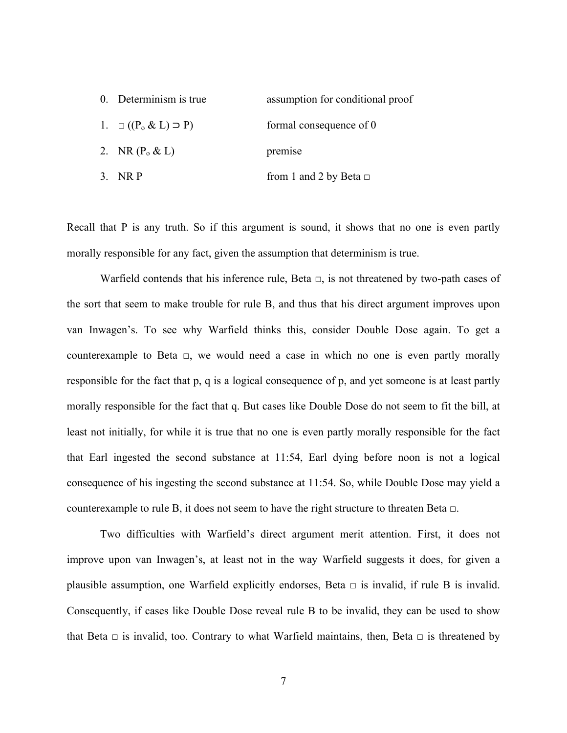| 0. Determinism is true                       | assumption for conditional proof |
|----------------------------------------------|----------------------------------|
| 1. $\Box$ ((P <sub>0</sub> & L) $\supset$ P) | formal consequence of 0          |
| 2. NR $(P_0 & L)$                            | premise                          |
| 3. NRP                                       | from 1 and 2 by Beta $\Box$      |

Recall that P is any truth. So if this argument is sound, it shows that no one is even partly morally responsible for any fact, given the assumption that determinism is true.

Warfield contends that his inference rule, Beta  $\Box$ , is not threatened by two-path cases of the sort that seem to make trouble for rule B, and thus that his direct argument improves upon van Inwagen's. To see why Warfield thinks this, consider Double Dose again. To get a counterexample to Beta □, we would need a case in which no one is even partly morally responsible for the fact that p, q is a logical consequence of p, and yet someone is at least partly morally responsible for the fact that q. But cases like Double Dose do not seem to fit the bill, at least not initially, for while it is true that no one is even partly morally responsible for the fact that Earl ingested the second substance at 11:54, Earl dying before noon is not a logical consequence of his ingesting the second substance at 11:54. So, while Double Dose may yield a counterexample to rule B, it does not seem to have the right structure to threaten Beta □.

Two difficulties with Warfield's direct argument merit attention. First, it does not improve upon van Inwagen's, at least not in the way Warfield suggests it does, for given a plausible assumption, one Warfield explicitly endorses, Beta  $\Box$  is invalid, if rule B is invalid. Consequently, if cases like Double Dose reveal rule B to be invalid, they can be used to show that Beta  $\Box$  is invalid, too. Contrary to what Warfield maintains, then, Beta  $\Box$  is threatened by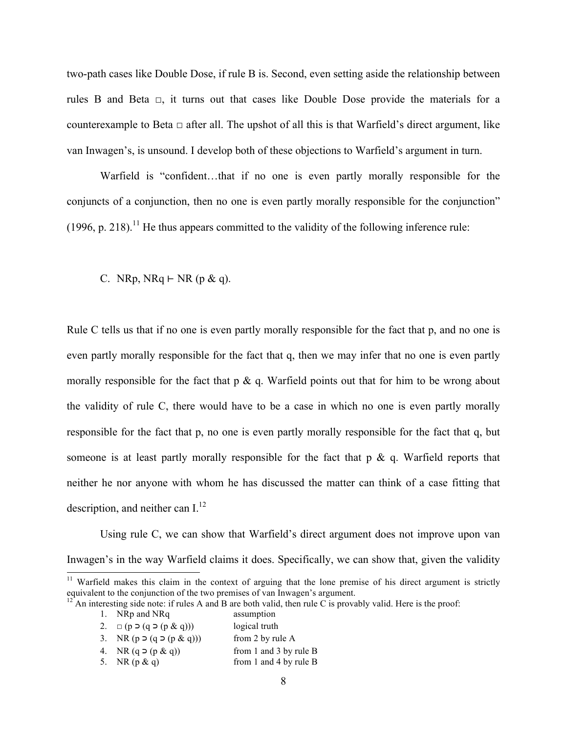two-path cases like Double Dose, if rule B is. Second, even setting aside the relationship between rules B and Beta  $\Box$ , it turns out that cases like Double Dose provide the materials for a counterexample to Beta  $\Box$  after all. The upshot of all this is that Warfield's direct argument, like van Inwagen's, is unsound. I develop both of these objections to Warfield's argument in turn.

Warfield is "confident…that if no one is even partly morally responsible for the conjuncts of a conjunction, then no one is even partly morally responsible for the conjunction" (1996, p. 218).<sup>11</sup> He thus appears committed to the validity of the following inference rule:

C. NRp, NRq  $\vdash$  NR (p & q).

Rule C tells us that if no one is even partly morally responsible for the fact that p, and no one is even partly morally responsible for the fact that q, then we may infer that no one is even partly morally responsible for the fact that  $p \& q$ . Warfield points out that for him to be wrong about the validity of rule C, there would have to be a case in which no one is even partly morally responsible for the fact that p, no one is even partly morally responsible for the fact that q, but someone is at least partly morally responsible for the fact that  $p \& q$ . Warfield reports that neither he nor anyone with whom he has discussed the matter can think of a case fitting that description, and neither can  $I<sup>12</sup>$ .

Using rule C, we can show that Warfield's direct argument does not improve upon van Inwagen's in the way Warfield claims it does. Specifically, we can show that, given the validity

- 1. NRp and NRq assumption
- 2.  $\Box$  (p  $\Box$  (q  $\Box$  (p & q))) logical truth
- 3. NR ( $p \supset (q \supset (p \& q))$  from 2 by rule A
- 4. NR (q  $\supset$  (p & q)) from 1 and 3 by rule B
- 5. NR  $(p \& q)$  from 1 and 4 by rule B

<sup>&</sup>lt;sup>11</sup> Warfield makes this claim in the context of arguing that the lone premise of his direct argument is strictly equivalent to the conjunction of the two premises of van Inwagen's argument.

 $12^{\circ}$ An interesting side note: if rules A and B are both valid, then rule C is provably valid. Here is the proof: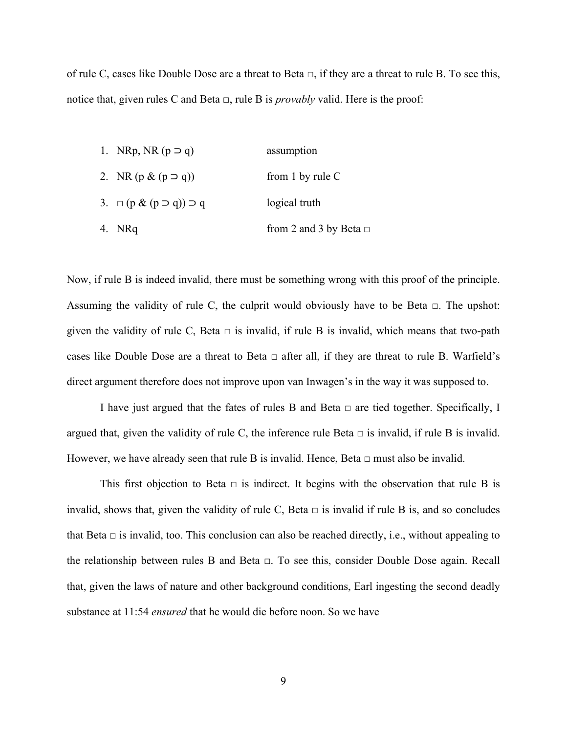of rule C, cases like Double Dose are a threat to Beta  $\Box$ , if they are a threat to rule B. To see this, notice that, given rules C and Beta □, rule B is *provably* valid. Here is the proof:

| 1. NRp, NR $(p \supset q)$            | assumption                  |
|---------------------------------------|-----------------------------|
| 2. NR ( $p \& (p \supset q)$ )        | from 1 by rule $C$          |
| 3. $\Box$ (p & (p $\Box$ q)) $\Box$ q | logical truth               |
| 4. NRq                                | from 2 and 3 by Beta $\Box$ |

Now, if rule B is indeed invalid, there must be something wrong with this proof of the principle. Assuming the validity of rule C, the culprit would obviously have to be Beta  $\Box$ . The upshot: given the validity of rule C, Beta  $\Box$  is invalid, if rule B is invalid, which means that two-path cases like Double Dose are a threat to Beta  $\Box$  after all, if they are threat to rule B. Warfield's direct argument therefore does not improve upon van Inwagen's in the way it was supposed to.

I have just argued that the fates of rules B and Beta □ are tied together. Specifically, I argued that, given the validity of rule C, the inference rule Beta  $\Box$  is invalid, if rule B is invalid. However, we have already seen that rule B is invalid. Hence, Beta  $\Box$  must also be invalid.

This first objection to Beta  $\Box$  is indirect. It begins with the observation that rule B is invalid, shows that, given the validity of rule C, Beta  $\Box$  is invalid if rule B is, and so concludes that Beta  $\Box$  is invalid, too. This conclusion can also be reached directly, i.e., without appealing to the relationship between rules B and Beta  $\Box$ . To see this, consider Double Dose again. Recall that, given the laws of nature and other background conditions, Earl ingesting the second deadly substance at 11:54 *ensured* that he would die before noon. So we have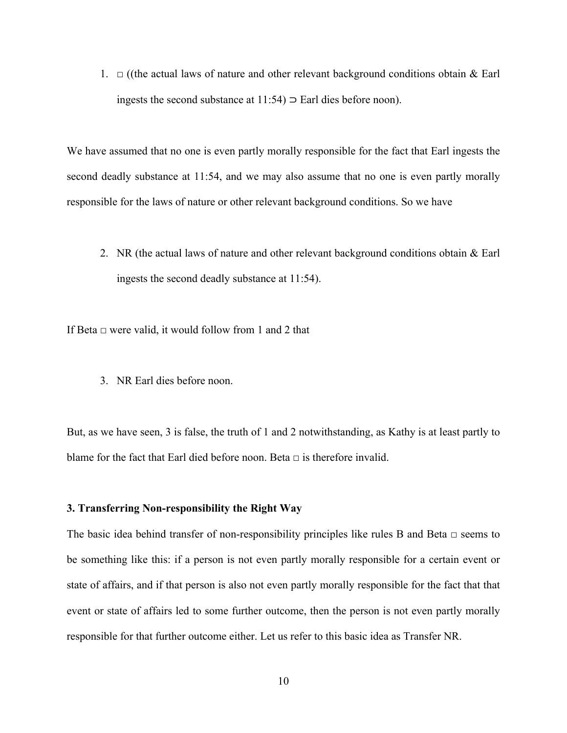1.  $\Box$  ((the actual laws of nature and other relevant background conditions obtain & Earl) ingests the second substance at 11:54) ⊃ Earl dies before noon).

We have assumed that no one is even partly morally responsible for the fact that Earl ingests the second deadly substance at 11:54, and we may also assume that no one is even partly morally responsible for the laws of nature or other relevant background conditions. So we have

2. NR (the actual laws of nature and other relevant background conditions obtain & Earl ingests the second deadly substance at 11:54).

If Beta  $\Box$  were valid, it would follow from 1 and 2 that

3. NR Earl dies before noon.

But, as we have seen, 3 is false, the truth of 1 and 2 notwithstanding, as Kathy is at least partly to blame for the fact that Earl died before noon. Beta  $\Box$  is therefore invalid.

# **3. Transferring Non-responsibility the Right Way**

The basic idea behind transfer of non-responsibility principles like rules B and Beta □ seems to be something like this: if a person is not even partly morally responsible for a certain event or state of affairs, and if that person is also not even partly morally responsible for the fact that that event or state of affairs led to some further outcome, then the person is not even partly morally responsible for that further outcome either. Let us refer to this basic idea as Transfer NR.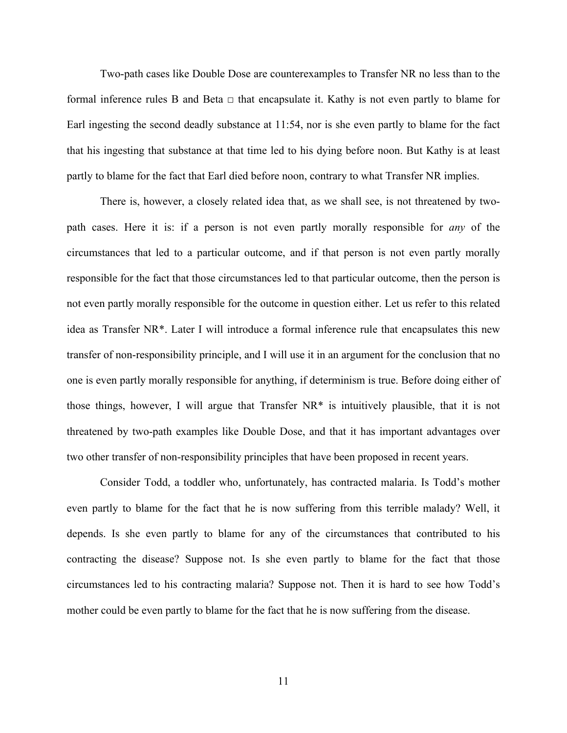Two-path cases like Double Dose are counterexamples to Transfer NR no less than to the formal inference rules B and Beta  $\Box$  that encapsulate it. Kathy is not even partly to blame for Earl ingesting the second deadly substance at 11:54, nor is she even partly to blame for the fact that his ingesting that substance at that time led to his dying before noon. But Kathy is at least partly to blame for the fact that Earl died before noon, contrary to what Transfer NR implies.

There is, however, a closely related idea that, as we shall see, is not threatened by twopath cases. Here it is: if a person is not even partly morally responsible for *any* of the circumstances that led to a particular outcome, and if that person is not even partly morally responsible for the fact that those circumstances led to that particular outcome, then the person is not even partly morally responsible for the outcome in question either. Let us refer to this related idea as Transfer NR\*. Later I will introduce a formal inference rule that encapsulates this new transfer of non-responsibility principle, and I will use it in an argument for the conclusion that no one is even partly morally responsible for anything, if determinism is true. Before doing either of those things, however, I will argue that Transfer NR\* is intuitively plausible, that it is not threatened by two-path examples like Double Dose, and that it has important advantages over two other transfer of non-responsibility principles that have been proposed in recent years.

Consider Todd, a toddler who, unfortunately, has contracted malaria. Is Todd's mother even partly to blame for the fact that he is now suffering from this terrible malady? Well, it depends. Is she even partly to blame for any of the circumstances that contributed to his contracting the disease? Suppose not. Is she even partly to blame for the fact that those circumstances led to his contracting malaria? Suppose not. Then it is hard to see how Todd's mother could be even partly to blame for the fact that he is now suffering from the disease.

11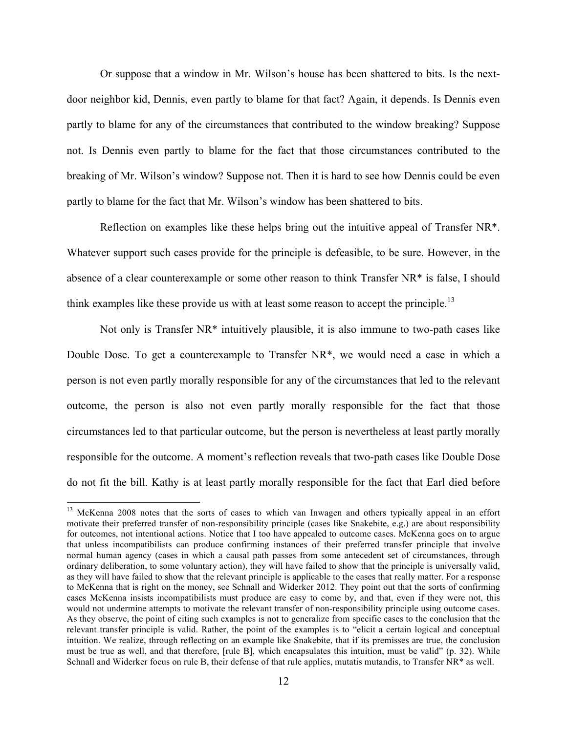Or suppose that a window in Mr. Wilson's house has been shattered to bits. Is the nextdoor neighbor kid, Dennis, even partly to blame for that fact? Again, it depends. Is Dennis even partly to blame for any of the circumstances that contributed to the window breaking? Suppose not. Is Dennis even partly to blame for the fact that those circumstances contributed to the breaking of Mr. Wilson's window? Suppose not. Then it is hard to see how Dennis could be even partly to blame for the fact that Mr. Wilson's window has been shattered to bits.

Reflection on examples like these helps bring out the intuitive appeal of Transfer NR\*. Whatever support such cases provide for the principle is defeasible, to be sure. However, in the absence of a clear counterexample or some other reason to think Transfer NR\* is false, I should think examples like these provide us with at least some reason to accept the principle.<sup>13</sup>

Not only is Transfer NR\* intuitively plausible, it is also immune to two-path cases like Double Dose. To get a counterexample to Transfer NR\*, we would need a case in which a person is not even partly morally responsible for any of the circumstances that led to the relevant outcome, the person is also not even partly morally responsible for the fact that those circumstances led to that particular outcome, but the person is nevertheless at least partly morally responsible for the outcome. A moment's reflection reveals that two-path cases like Double Dose do not fit the bill. Kathy is at least partly morally responsible for the fact that Earl died before

<sup>&</sup>lt;sup>13</sup> McKenna 2008 notes that the sorts of cases to which van Inwagen and others typically appeal in an effort motivate their preferred transfer of non-responsibility principle (cases like Snakebite, e.g.) are about responsibility for outcomes, not intentional actions. Notice that I too have appealed to outcome cases. McKenna goes on to argue that unless incompatibilists can produce confirming instances of their preferred transfer principle that involve normal human agency (cases in which a causal path passes from some antecedent set of circumstances, through ordinary deliberation, to some voluntary action), they will have failed to show that the principle is universally valid, as they will have failed to show that the relevant principle is applicable to the cases that really matter. For a response to McKenna that is right on the money, see Schnall and Widerker 2012. They point out that the sorts of confirming cases McKenna insists incompatibilists must produce are easy to come by, and that, even if they were not, this would not undermine attempts to motivate the relevant transfer of non-responsibility principle using outcome cases. As they observe, the point of citing such examples is not to generalize from specific cases to the conclusion that the relevant transfer principle is valid. Rather, the point of the examples is to "elicit a certain logical and conceptual intuition. We realize, through reflecting on an example like Snakebite, that if its premisses are true, the conclusion must be true as well, and that therefore, [rule B], which encapsulates this intuition, must be valid" (p. 32). While Schnall and Widerker focus on rule B, their defense of that rule applies, mutatis mutandis, to Transfer NR\* as well.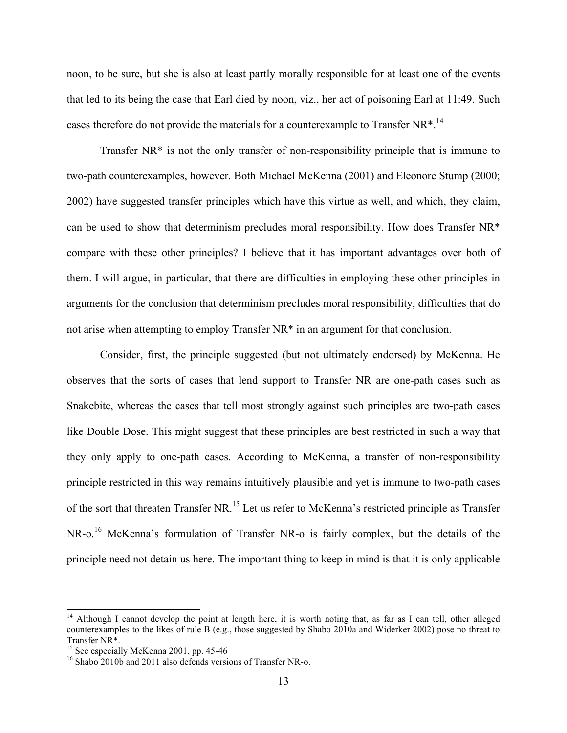noon, to be sure, but she is also at least partly morally responsible for at least one of the events that led to its being the case that Earl died by noon, viz., her act of poisoning Earl at 11:49. Such cases therefore do not provide the materials for a counterexample to Transfer NR\*.<sup>14</sup>

Transfer NR\* is not the only transfer of non-responsibility principle that is immune to two-path counterexamples, however. Both Michael McKenna (2001) and Eleonore Stump (2000; 2002) have suggested transfer principles which have this virtue as well, and which, they claim, can be used to show that determinism precludes moral responsibility. How does Transfer NR\* compare with these other principles? I believe that it has important advantages over both of them. I will argue, in particular, that there are difficulties in employing these other principles in arguments for the conclusion that determinism precludes moral responsibility, difficulties that do not arise when attempting to employ Transfer NR\* in an argument for that conclusion.

Consider, first, the principle suggested (but not ultimately endorsed) by McKenna. He observes that the sorts of cases that lend support to Transfer NR are one-path cases such as Snakebite, whereas the cases that tell most strongly against such principles are two-path cases like Double Dose. This might suggest that these principles are best restricted in such a way that they only apply to one-path cases. According to McKenna, a transfer of non-responsibility principle restricted in this way remains intuitively plausible and yet is immune to two-path cases of the sort that threaten Transfer NR.<sup>15</sup> Let us refer to McKenna's restricted principle as Transfer NR-o.<sup>16</sup> McKenna's formulation of Transfer NR-o is fairly complex, but the details of the principle need not detain us here. The important thing to keep in mind is that it is only applicable

<sup>&</sup>lt;sup>14</sup> Although I cannot develop the point at length here, it is worth noting that, as far as I can tell, other alleged counterexamples to the likes of rule B (e.g., those suggested by Shabo 2010a and Widerker 2002) pose no threat to Transfer NR\*.<br><sup>15</sup> See especially McKenna 2001, pp. 45-46

<sup>&</sup>lt;sup>16</sup> Shabo 2010b and 2011 also defends versions of Transfer NR-o.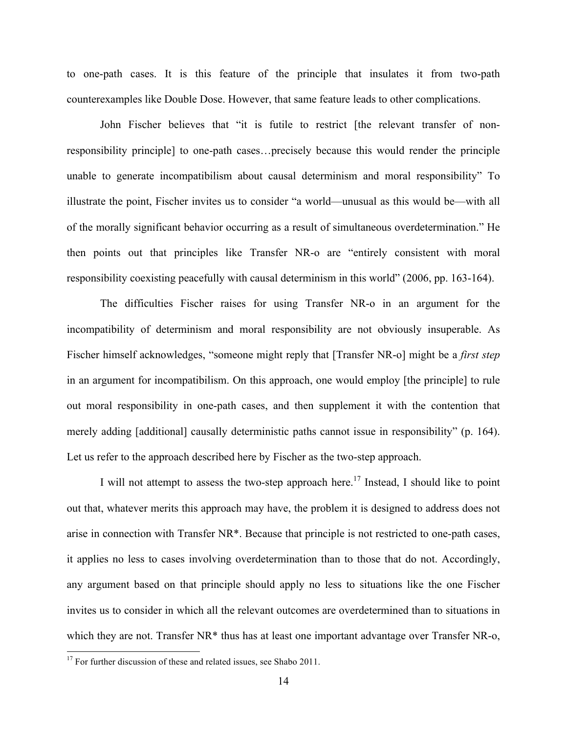to one-path cases. It is this feature of the principle that insulates it from two-path counterexamples like Double Dose. However, that same feature leads to other complications.

John Fischer believes that "it is futile to restrict [the relevant transfer of nonresponsibility principle] to one-path cases…precisely because this would render the principle unable to generate incompatibilism about causal determinism and moral responsibility" To illustrate the point, Fischer invites us to consider "a world—unusual as this would be—with all of the morally significant behavior occurring as a result of simultaneous overdetermination." He then points out that principles like Transfer NR-o are "entirely consistent with moral responsibility coexisting peacefully with causal determinism in this world" (2006, pp. 163-164).

The difficulties Fischer raises for using Transfer NR-o in an argument for the incompatibility of determinism and moral responsibility are not obviously insuperable. As Fischer himself acknowledges, "someone might reply that [Transfer NR-o] might be a *first step* in an argument for incompatibilism. On this approach, one would employ [the principle] to rule out moral responsibility in one-path cases, and then supplement it with the contention that merely adding [additional] causally deterministic paths cannot issue in responsibility" (p. 164). Let us refer to the approach described here by Fischer as the two-step approach.

I will not attempt to assess the two-step approach here.<sup>17</sup> Instead, I should like to point out that, whatever merits this approach may have, the problem it is designed to address does not arise in connection with Transfer NR\*. Because that principle is not restricted to one-path cases, it applies no less to cases involving overdetermination than to those that do not. Accordingly, any argument based on that principle should apply no less to situations like the one Fischer invites us to consider in which all the relevant outcomes are overdetermined than to situations in which they are not. Transfer NR<sup>\*</sup> thus has at least one important advantage over Transfer NR-o,

<sup>&</sup>lt;sup>17</sup> For further discussion of these and related issues, see Shabo 2011.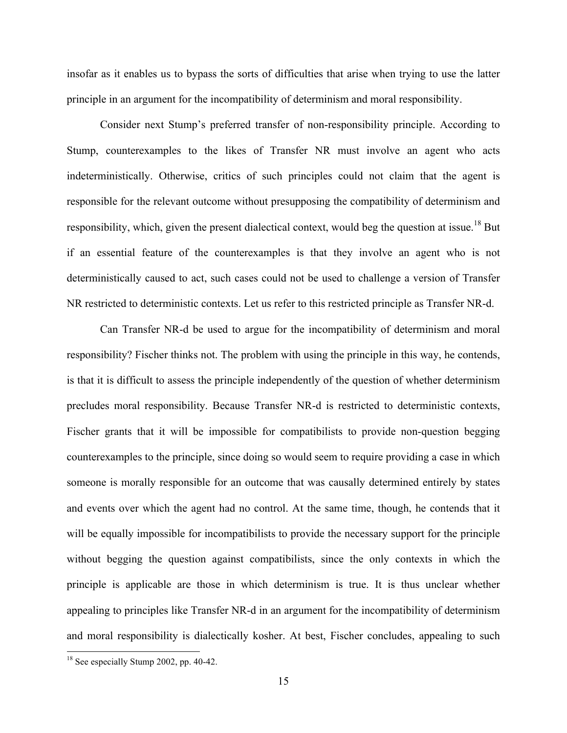insofar as it enables us to bypass the sorts of difficulties that arise when trying to use the latter principle in an argument for the incompatibility of determinism and moral responsibility.

Consider next Stump's preferred transfer of non-responsibility principle. According to Stump, counterexamples to the likes of Transfer NR must involve an agent who acts indeterministically. Otherwise, critics of such principles could not claim that the agent is responsible for the relevant outcome without presupposing the compatibility of determinism and responsibility, which, given the present dialectical context, would beg the question at issue.<sup>18</sup> But if an essential feature of the counterexamples is that they involve an agent who is not deterministically caused to act, such cases could not be used to challenge a version of Transfer NR restricted to deterministic contexts. Let us refer to this restricted principle as Transfer NR-d.

Can Transfer NR-d be used to argue for the incompatibility of determinism and moral responsibility? Fischer thinks not. The problem with using the principle in this way, he contends, is that it is difficult to assess the principle independently of the question of whether determinism precludes moral responsibility. Because Transfer NR-d is restricted to deterministic contexts, Fischer grants that it will be impossible for compatibilists to provide non-question begging counterexamples to the principle, since doing so would seem to require providing a case in which someone is morally responsible for an outcome that was causally determined entirely by states and events over which the agent had no control. At the same time, though, he contends that it will be equally impossible for incompatibilists to provide the necessary support for the principle without begging the question against compatibilists, since the only contexts in which the principle is applicable are those in which determinism is true. It is thus unclear whether appealing to principles like Transfer NR-d in an argument for the incompatibility of determinism and moral responsibility is dialectically kosher. At best, Fischer concludes, appealing to such

<sup>&</sup>lt;sup>18</sup> See especially Stump 2002, pp. 40-42.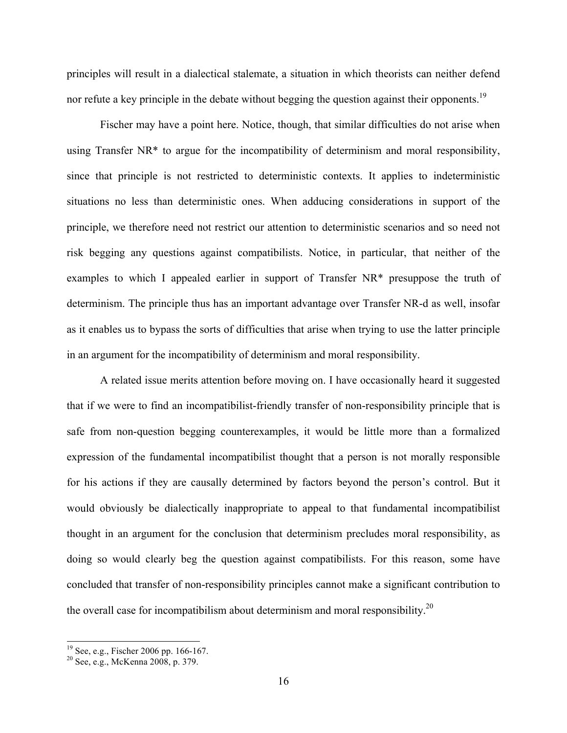principles will result in a dialectical stalemate, a situation in which theorists can neither defend nor refute a key principle in the debate without begging the question against their opponents.<sup>19</sup>

Fischer may have a point here. Notice, though, that similar difficulties do not arise when using Transfer NR\* to argue for the incompatibility of determinism and moral responsibility, since that principle is not restricted to deterministic contexts. It applies to indeterministic situations no less than deterministic ones. When adducing considerations in support of the principle, we therefore need not restrict our attention to deterministic scenarios and so need not risk begging any questions against compatibilists. Notice, in particular, that neither of the examples to which I appealed earlier in support of Transfer NR\* presuppose the truth of determinism. The principle thus has an important advantage over Transfer NR-d as well, insofar as it enables us to bypass the sorts of difficulties that arise when trying to use the latter principle in an argument for the incompatibility of determinism and moral responsibility.

A related issue merits attention before moving on. I have occasionally heard it suggested that if we were to find an incompatibilist-friendly transfer of non-responsibility principle that is safe from non-question begging counterexamples, it would be little more than a formalized expression of the fundamental incompatibilist thought that a person is not morally responsible for his actions if they are causally determined by factors beyond the person's control. But it would obviously be dialectically inappropriate to appeal to that fundamental incompatibilist thought in an argument for the conclusion that determinism precludes moral responsibility, as doing so would clearly beg the question against compatibilists. For this reason, some have concluded that transfer of non-responsibility principles cannot make a significant contribution to the overall case for incompatibilism about determinism and moral responsibility.<sup>20</sup>

<sup>&</sup>lt;sup>19</sup> See, e.g., Fischer 2006 pp. 166-167.<br><sup>20</sup> See, e.g., McKenna 2008, p. 379.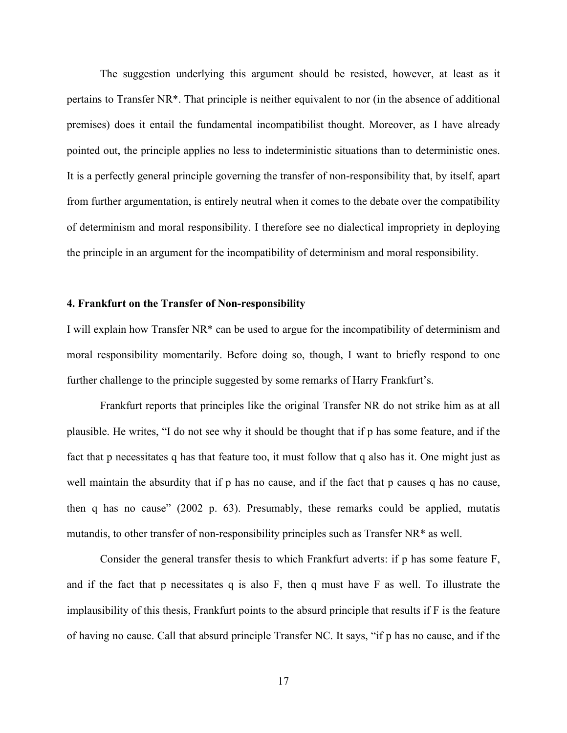The suggestion underlying this argument should be resisted, however, at least as it pertains to Transfer NR\*. That principle is neither equivalent to nor (in the absence of additional premises) does it entail the fundamental incompatibilist thought. Moreover, as I have already pointed out, the principle applies no less to indeterministic situations than to deterministic ones. It is a perfectly general principle governing the transfer of non-responsibility that, by itself, apart from further argumentation, is entirely neutral when it comes to the debate over the compatibility of determinism and moral responsibility. I therefore see no dialectical impropriety in deploying the principle in an argument for the incompatibility of determinism and moral responsibility.

# **4. Frankfurt on the Transfer of Non-responsibility**

I will explain how Transfer NR\* can be used to argue for the incompatibility of determinism and moral responsibility momentarily. Before doing so, though, I want to briefly respond to one further challenge to the principle suggested by some remarks of Harry Frankfurt's.

Frankfurt reports that principles like the original Transfer NR do not strike him as at all plausible. He writes, "I do not see why it should be thought that if p has some feature, and if the fact that p necessitates q has that feature too, it must follow that q also has it. One might just as well maintain the absurdity that if p has no cause, and if the fact that p causes q has no cause, then q has no cause" (2002 p. 63). Presumably, these remarks could be applied, mutatis mutandis, to other transfer of non-responsibility principles such as Transfer NR\* as well.

Consider the general transfer thesis to which Frankfurt adverts: if p has some feature F, and if the fact that p necessitates q is also F, then q must have F as well. To illustrate the implausibility of this thesis, Frankfurt points to the absurd principle that results if F is the feature of having no cause. Call that absurd principle Transfer NC. It says, "if p has no cause, and if the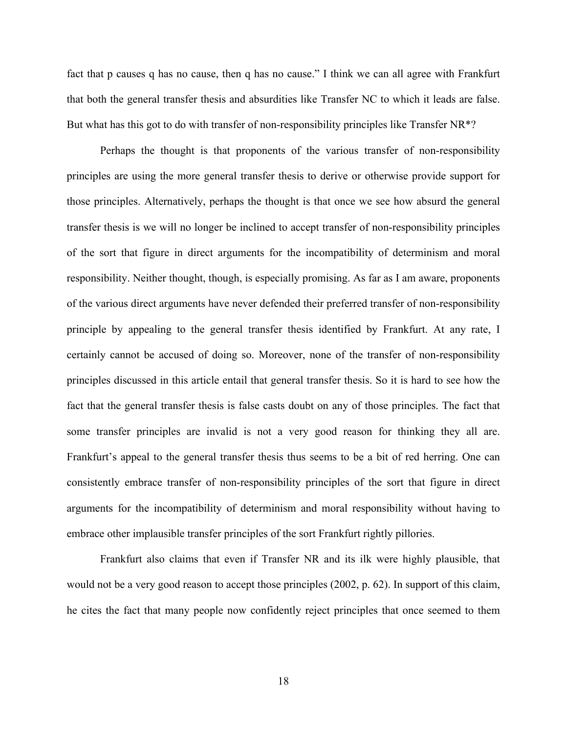fact that p causes q has no cause, then q has no cause." I think we can all agree with Frankfurt that both the general transfer thesis and absurdities like Transfer NC to which it leads are false. But what has this got to do with transfer of non-responsibility principles like Transfer  $NR^*$ ?

Perhaps the thought is that proponents of the various transfer of non-responsibility principles are using the more general transfer thesis to derive or otherwise provide support for those principles. Alternatively, perhaps the thought is that once we see how absurd the general transfer thesis is we will no longer be inclined to accept transfer of non-responsibility principles of the sort that figure in direct arguments for the incompatibility of determinism and moral responsibility. Neither thought, though, is especially promising. As far as I am aware, proponents of the various direct arguments have never defended their preferred transfer of non-responsibility principle by appealing to the general transfer thesis identified by Frankfurt. At any rate, I certainly cannot be accused of doing so. Moreover, none of the transfer of non-responsibility principles discussed in this article entail that general transfer thesis. So it is hard to see how the fact that the general transfer thesis is false casts doubt on any of those principles. The fact that some transfer principles are invalid is not a very good reason for thinking they all are. Frankfurt's appeal to the general transfer thesis thus seems to be a bit of red herring. One can consistently embrace transfer of non-responsibility principles of the sort that figure in direct arguments for the incompatibility of determinism and moral responsibility without having to embrace other implausible transfer principles of the sort Frankfurt rightly pillories.

Frankfurt also claims that even if Transfer NR and its ilk were highly plausible, that would not be a very good reason to accept those principles (2002, p. 62). In support of this claim, he cites the fact that many people now confidently reject principles that once seemed to them

18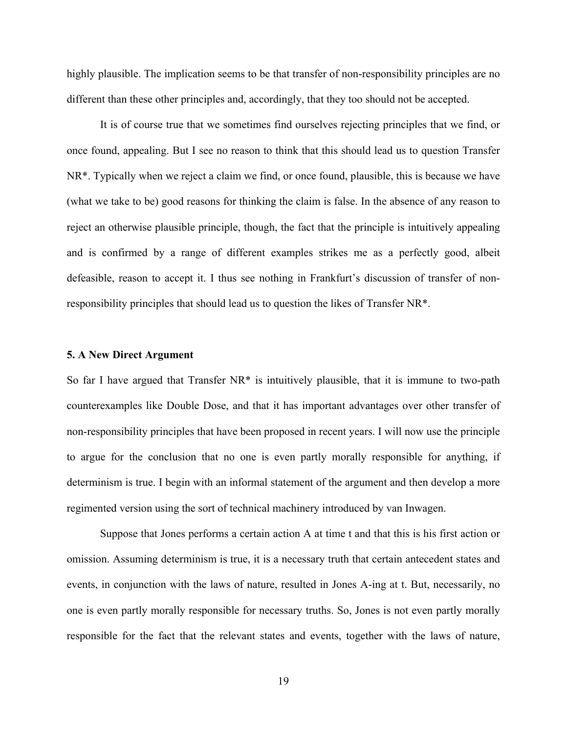highly plausible. The implication seems to be that transfer of non-responsibility principles are no different than these other principles and, accordingly, that they too should not be accepted.

It is of course true that we sometimes find ourselves rejecting principles that we find, or once found, appealing. But I see no reason to think that this should lead us to question Transfer NR\*. Typically when we reject a claim we find, or once found, plausible, this is because we have (what we take to be) good reasons for thinking the claim is false. In the absence of any reason to reject an otherwise plausible principle, though, the fact that the principle is intuitively appealing and is confirmed by a range of different examples strikes me as a perfectly good, albeit defeasible, reason to accept it. I thus see nothing in Frankfurt's discussion of transfer of nonresponsibility principles that should lead us to question the likes of Transfer NR\*.

#### **5. A New Direct Argument**

So far I have argued that Transfer NR\* is intuitively plausible, that it is immune to two-path counterexamples like Double Dose, and that it has important advantages over other transfer of non-responsibility principles that have been proposed in recent years. I will now use the principle to argue for the conclusion that no one is even partly morally responsible for anything, if determinism is true. I begin with an informal statement of the argument and then develop a more regimented version using the sort of technical machinery introduced by van Inwagen.

Suppose that Jones performs a certain action A at time t and that this is his first action or omission. Assuming determinism is true, it is a necessary truth that certain antecedent states and events, in conjunction with the laws of nature, resulted in Jones A-ing at t. But, necessarily, no one is even partly morally responsible for necessary truths. So, Jones is not even partly morally responsible for the fact that the relevant states and events, together with the laws of nature,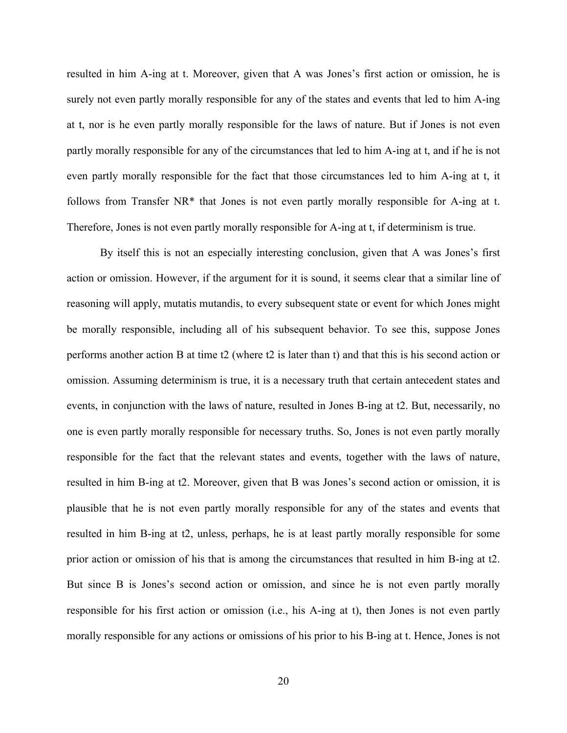resulted in him A-ing at t. Moreover, given that A was Jones's first action or omission, he is surely not even partly morally responsible for any of the states and events that led to him A-ing at t, nor is he even partly morally responsible for the laws of nature. But if Jones is not even partly morally responsible for any of the circumstances that led to him A-ing at t, and if he is not even partly morally responsible for the fact that those circumstances led to him A-ing at t, it follows from Transfer NR\* that Jones is not even partly morally responsible for A-ing at t. Therefore, Jones is not even partly morally responsible for A-ing at t, if determinism is true.

By itself this is not an especially interesting conclusion, given that A was Jones's first action or omission. However, if the argument for it is sound, it seems clear that a similar line of reasoning will apply, mutatis mutandis, to every subsequent state or event for which Jones might be morally responsible, including all of his subsequent behavior. To see this, suppose Jones performs another action B at time t2 (where t2 is later than t) and that this is his second action or omission. Assuming determinism is true, it is a necessary truth that certain antecedent states and events, in conjunction with the laws of nature, resulted in Jones B-ing at t2. But, necessarily, no one is even partly morally responsible for necessary truths. So, Jones is not even partly morally responsible for the fact that the relevant states and events, together with the laws of nature, resulted in him B-ing at t2. Moreover, given that B was Jones's second action or omission, it is plausible that he is not even partly morally responsible for any of the states and events that resulted in him B-ing at t2, unless, perhaps, he is at least partly morally responsible for some prior action or omission of his that is among the circumstances that resulted in him B-ing at t2. But since B is Jones's second action or omission, and since he is not even partly morally responsible for his first action or omission (i.e., his A-ing at t), then Jones is not even partly morally responsible for any actions or omissions of his prior to his B-ing at t. Hence, Jones is not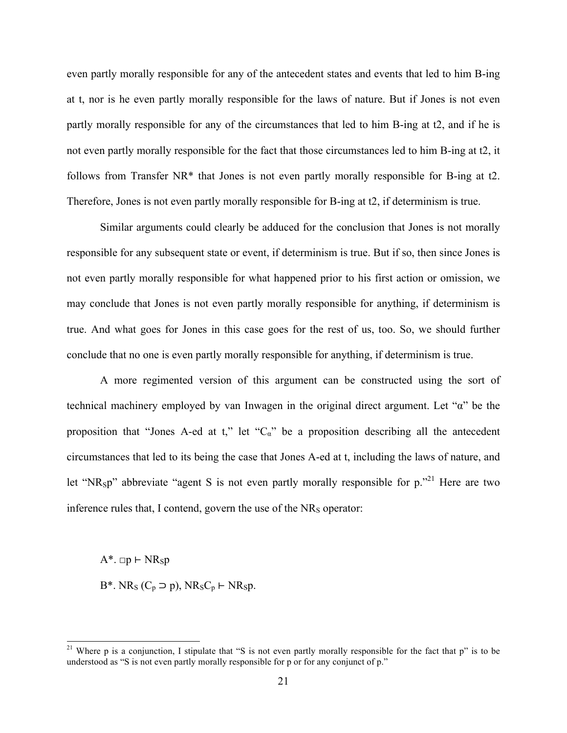even partly morally responsible for any of the antecedent states and events that led to him B-ing at t, nor is he even partly morally responsible for the laws of nature. But if Jones is not even partly morally responsible for any of the circumstances that led to him B-ing at t2, and if he is not even partly morally responsible for the fact that those circumstances led to him B-ing at t2, it follows from Transfer NR\* that Jones is not even partly morally responsible for B-ing at t2. Therefore, Jones is not even partly morally responsible for B-ing at t2, if determinism is true.

Similar arguments could clearly be adduced for the conclusion that Jones is not morally responsible for any subsequent state or event, if determinism is true. But if so, then since Jones is not even partly morally responsible for what happened prior to his first action or omission, we may conclude that Jones is not even partly morally responsible for anything, if determinism is true. And what goes for Jones in this case goes for the rest of us, too. So, we should further conclude that no one is even partly morally responsible for anything, if determinism is true.

A more regimented version of this argument can be constructed using the sort of technical machinery employed by van Inwagen in the original direct argument. Let "α" be the proposition that "Jones A-ed at t," let " $C_{\alpha}$ " be a proposition describing all the antecedent circumstances that led to its being the case that Jones A-ed at t, including the laws of nature, and let "NR<sub>S</sub>p" abbreviate "agent S is not even partly morally responsible for p."<sup>21</sup> Here are two inference rules that, I contend, govern the use of the  $NR<sub>S</sub>$  operator:

 $A^*$ .  $\Box p$  ⊢ NR<sub>S</sub>p

B<sup>\*</sup>. NR<sub>S</sub> (C<sub>p</sub> ⊃ p), NR<sub>S</sub>C<sub>p</sub> ⊢ NR<sub>S</sub>p.

<sup>&</sup>lt;sup>21</sup> Where p is a conjunction, I stipulate that "S is not even partly morally responsible for the fact that  $p$ " is to be understood as "S is not even partly morally responsible for p or for any conjunct of p."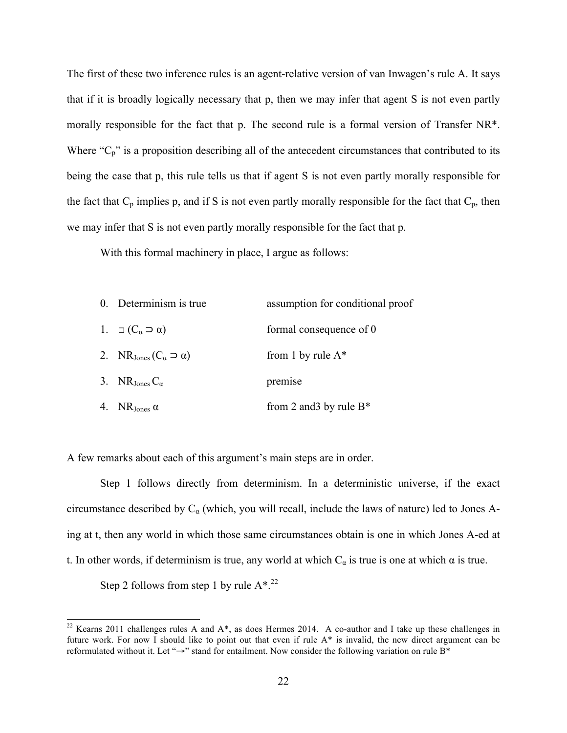The first of these two inference rules is an agent-relative version of van Inwagen's rule A. It says that if it is broadly logically necessary that p, then we may infer that agent S is not even partly morally responsible for the fact that p. The second rule is a formal version of Transfer NR\*. Where " $C_p$ " is a proposition describing all of the antecedent circumstances that contributed to its being the case that p, this rule tells us that if agent S is not even partly morally responsible for the fact that  $C_p$  implies p, and if S is not even partly morally responsible for the fact that  $C_p$ , then we may infer that S is not even partly morally responsible for the fact that p.

With this formal machinery in place, I argue as follows:

| 0. Determinism is true                               | assumption for conditional proof |
|------------------------------------------------------|----------------------------------|
| 1. $\Box$ $(C_{\alpha} \supset \alpha)$              | formal consequence of 0          |
| 2. NR <sub>Jones</sub> $(C_{\alpha} \supset \alpha)$ | from 1 by rule $A^*$             |
| 3. NR Jones $C_{\alpha}$                             | premise                          |
| 4. NR Jones $\alpha$                                 | from 2 and 3 by rule $B^*$       |

A few remarks about each of this argument's main steps are in order.

Step 1 follows directly from determinism. In a deterministic universe, if the exact circumstance described by  $C_\alpha$  (which, you will recall, include the laws of nature) led to Jones Aing at t, then any world in which those same circumstances obtain is one in which Jones A-ed at t. In other words, if determinism is true, any world at which  $C_{\alpha}$  is true is one at which  $\alpha$  is true.

Step 2 follows from step 1 by rule  $A^*$ .<sup>22</sup>

 $\frac{22}{22}$  Kearns 2011 challenges rules A and A\*, as does Hermes 2014. A co-author and I take up these challenges in future work. For now I should like to point out that even if rule A\* is invalid, the new direct argument can be reformulated without it. Let "→" stand for entailment. Now consider the following variation on rule B\*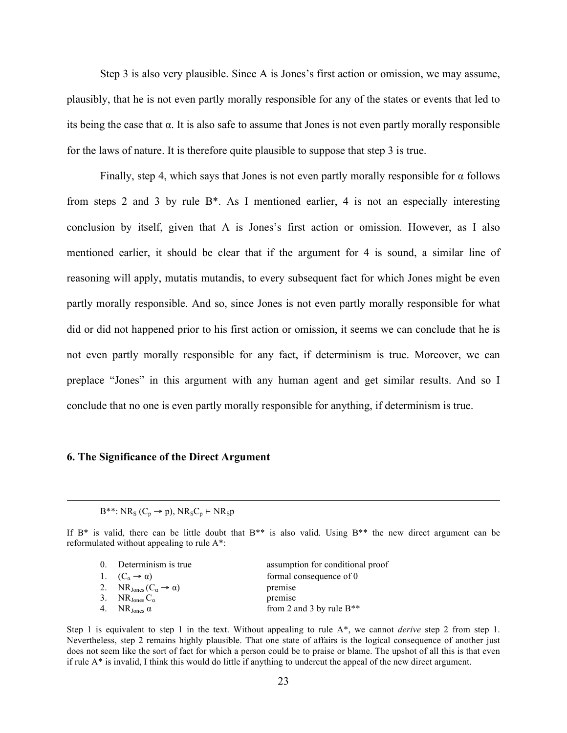Step 3 is also very plausible. Since A is Jones's first action or omission, we may assume, plausibly, that he is not even partly morally responsible for any of the states or events that led to its being the case that  $\alpha$ . It is also safe to assume that Jones is not even partly morally responsible for the laws of nature. It is therefore quite plausible to suppose that step 3 is true.

Finally, step 4, which says that Jones is not even partly morally responsible for  $\alpha$  follows from steps 2 and 3 by rule B\*. As I mentioned earlier, 4 is not an especially interesting conclusion by itself, given that A is Jones's first action or omission. However, as I also mentioned earlier, it should be clear that if the argument for 4 is sound, a similar line of reasoning will apply, mutatis mutandis, to every subsequent fact for which Jones might be even partly morally responsible. And so, since Jones is not even partly morally responsible for what did or did not happened prior to his first action or omission, it seems we can conclude that he is not even partly morally responsible for any fact, if determinism is true. Moreover, we can preplace "Jones" in this argument with any human agent and get similar results. And so I conclude that no one is even partly morally responsible for anything, if determinism is true.

## **6. The Significance of the Direct Argument**

 $B^{**}: NR_S (C_p \rightarrow p)$ ,  $NR_S C_p \rightarrow NR_S p$ 

 $\overline{a}$ 

If  $B^*$  is valid, there can be little doubt that  $B^{**}$  is also valid. Using  $B^{**}$  the new direct argument can be reformulated without appealing to rule A\*:

| 0. Determinism is true                                   | assumption for conditional proof |
|----------------------------------------------------------|----------------------------------|
| 1. $(C_{\alpha} \rightarrow \alpha)$                     | formal consequence of 0          |
| 2. NR <sub>Jones</sub> $(C_{\alpha} \rightarrow \alpha)$ | premise                          |
| 3. $NR_{\text{Iones}} C_{\alpha}$                        | premise                          |
| 4. NR <sub>Jones</sub> $\alpha$                          | from 2 and 3 by rule $B^{**}$    |

Step 1 is equivalent to step 1 in the text. Without appealing to rule A\*, we cannot *derive* step 2 from step 1. Nevertheless, step 2 remains highly plausible. That one state of affairs is the logical consequence of another just does not seem like the sort of fact for which a person could be to praise or blame. The upshot of all this is that even if rule A\* is invalid, I think this would do little if anything to undercut the appeal of the new direct argument.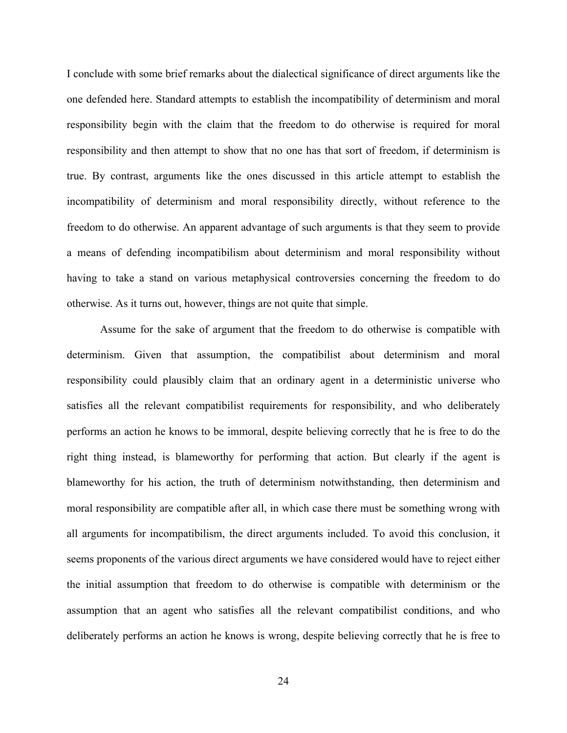I conclude with some brief remarks about the dialectical significance of direct arguments like the one defended here. Standard attempts to establish the incompatibility of determinism and moral responsibility begin with the claim that the freedom to do otherwise is required for moral responsibility and then attempt to show that no one has that sort of freedom, if determinism is true. By contrast, arguments like the ones discussed in this article attempt to establish the incompatibility of determinism and moral responsibility directly, without reference to the freedom to do otherwise. An apparent advantage of such arguments is that they seem to provide a means of defending incompatibilism about determinism and moral responsibility without having to take a stand on various metaphysical controversies concerning the freedom to do otherwise. As it turns out, however, things are not quite that simple.

Assume for the sake of argument that the freedom to do otherwise is compatible with determinism. Given that assumption, the compatibilist about determinism and moral responsibility could plausibly claim that an ordinary agent in a deterministic universe who satisfies all the relevant compatibilist requirements for responsibility, and who deliberately performs an action he knows to be immoral, despite believing correctly that he is free to do the right thing instead, is blameworthy for performing that action. But clearly if the agent is blameworthy for his action, the truth of determinism notwithstanding, then determinism and moral responsibility are compatible after all, in which case there must be something wrong with all arguments for incompatibilism, the direct arguments included. To avoid this conclusion, it seems proponents of the various direct arguments we have considered would have to reject either the initial assumption that freedom to do otherwise is compatible with determinism or the assumption that an agent who satisfies all the relevant compatibilist conditions, and who deliberately performs an action he knows is wrong, despite believing correctly that he is free to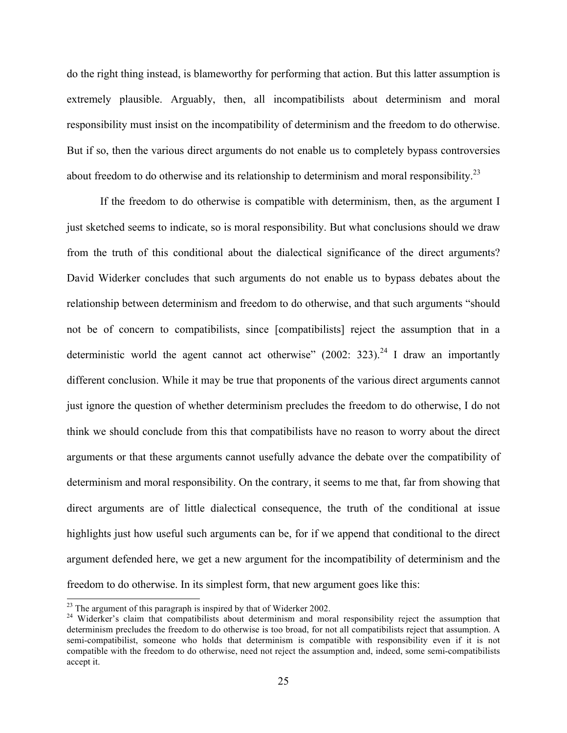do the right thing instead, is blameworthy for performing that action. But this latter assumption is extremely plausible. Arguably, then, all incompatibilists about determinism and moral responsibility must insist on the incompatibility of determinism and the freedom to do otherwise. But if so, then the various direct arguments do not enable us to completely bypass controversies about freedom to do otherwise and its relationship to determinism and moral responsibility.<sup>23</sup>

If the freedom to do otherwise is compatible with determinism, then, as the argument I just sketched seems to indicate, so is moral responsibility. But what conclusions should we draw from the truth of this conditional about the dialectical significance of the direct arguments? David Widerker concludes that such arguments do not enable us to bypass debates about the relationship between determinism and freedom to do otherwise, and that such arguments "should not be of concern to compatibilists, since [compatibilists] reject the assumption that in a deterministic world the agent cannot act otherwise"  $(2002: 323)^{24}$  I draw an importantly different conclusion. While it may be true that proponents of the various direct arguments cannot just ignore the question of whether determinism precludes the freedom to do otherwise, I do not think we should conclude from this that compatibilists have no reason to worry about the direct arguments or that these arguments cannot usefully advance the debate over the compatibility of determinism and moral responsibility. On the contrary, it seems to me that, far from showing that direct arguments are of little dialectical consequence, the truth of the conditional at issue highlights just how useful such arguments can be, for if we append that conditional to the direct argument defended here, we get a new argument for the incompatibility of determinism and the freedom to do otherwise. In its simplest form, that new argument goes like this:

<sup>&</sup>lt;sup>23</sup> The argument of this paragraph is inspired by that of Widerker 2002.<br><sup>24</sup> Widerker's claim that compatibilists about determinism and moral responsibility reject the assumption that determinism precludes the freedom to do otherwise is too broad, for not all compatibilists reject that assumption. A semi-compatibilist, someone who holds that determinism is compatible with responsibility even if it is not compatible with the freedom to do otherwise, need not reject the assumption and, indeed, some semi-compatibilists accept it.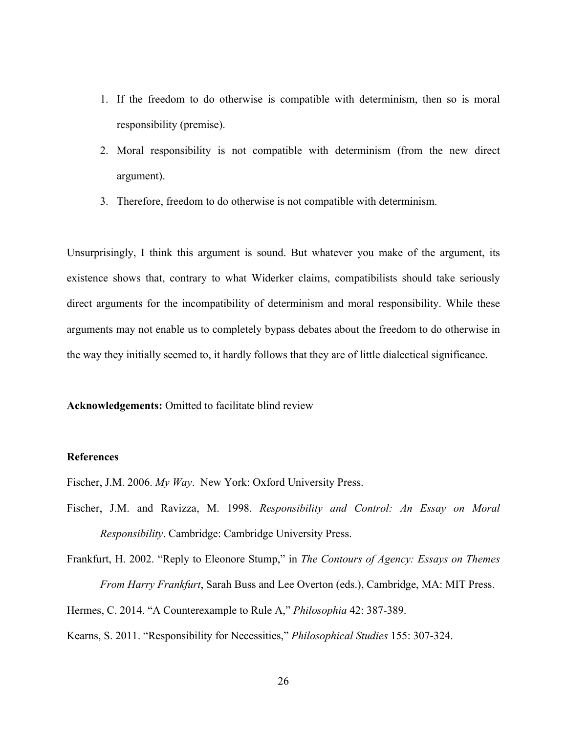- 1. If the freedom to do otherwise is compatible with determinism, then so is moral responsibility (premise).
- 2. Moral responsibility is not compatible with determinism (from the new direct argument).
- 3. Therefore, freedom to do otherwise is not compatible with determinism.

Unsurprisingly, I think this argument is sound. But whatever you make of the argument, its existence shows that, contrary to what Widerker claims, compatibilists should take seriously direct arguments for the incompatibility of determinism and moral responsibility. While these arguments may not enable us to completely bypass debates about the freedom to do otherwise in the way they initially seemed to, it hardly follows that they are of little dialectical significance.

**Acknowledgements:** Omitted to facilitate blind review

## **References**

Fischer, J.M. 2006. *My Way*. New York: Oxford University Press.

Fischer, J.M. and Ravizza, M. 1998. *Responsibility and Control: An Essay on Moral Responsibility*. Cambridge: Cambridge University Press.

Frankfurt, H. 2002. "Reply to Eleonore Stump," in *The Contours of Agency: Essays on Themes From Harry Frankfurt*, Sarah Buss and Lee Overton (eds.), Cambridge, MA: MIT Press.

Hermes, C. 2014. "A Counterexample to Rule A," *Philosophia* 42: 387-389.

Kearns, S. 2011. "Responsibility for Necessities," *Philosophical Studies* 155: 307-324.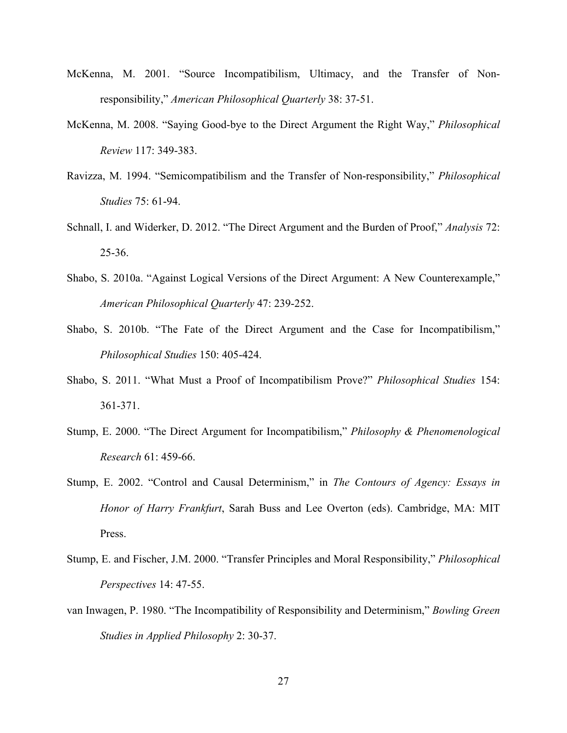- McKenna, M. 2001. "Source Incompatibilism, Ultimacy, and the Transfer of Nonresponsibility," *American Philosophical Quarterly* 38: 37-51.
- McKenna, M. 2008. "Saying Good-bye to the Direct Argument the Right Way," *Philosophical Review* 117: 349-383.
- Ravizza, M. 1994. "Semicompatibilism and the Transfer of Non-responsibility," *Philosophical Studies* 75: 61-94.
- Schnall, I. and Widerker, D. 2012. "The Direct Argument and the Burden of Proof," *Analysis* 72: 25-36.
- Shabo, S. 2010a. "Against Logical Versions of the Direct Argument: A New Counterexample," *American Philosophical Quarterly* 47: 239-252.
- Shabo, S. 2010b. "The Fate of the Direct Argument and the Case for Incompatibilism," *Philosophical Studies* 150: 405-424.
- Shabo, S. 2011. "What Must a Proof of Incompatibilism Prove?" *Philosophical Studies* 154: 361-371.
- Stump, E. 2000. "The Direct Argument for Incompatibilism," *Philosophy & Phenomenological Research* 61: 459-66.
- Stump, E. 2002. "Control and Causal Determinism," in *The Contours of Agency: Essays in Honor of Harry Frankfurt*, Sarah Buss and Lee Overton (eds). Cambridge, MA: MIT Press.
- Stump, E. and Fischer, J.M. 2000. "Transfer Principles and Moral Responsibility," *Philosophical Perspectives* 14: 47-55.
- van Inwagen, P. 1980. "The Incompatibility of Responsibility and Determinism," *Bowling Green Studies in Applied Philosophy* 2: 30-37.